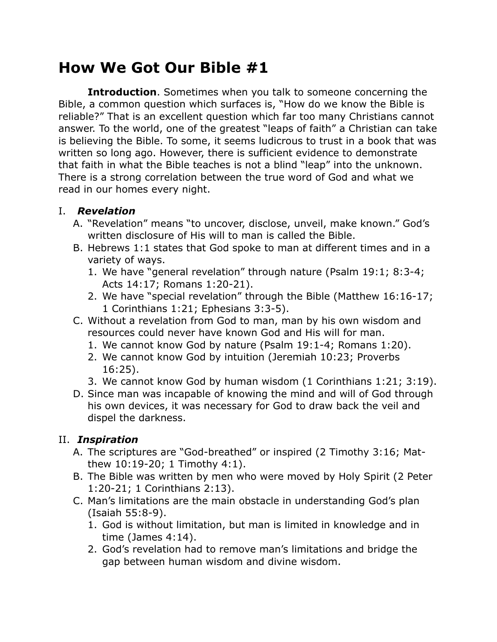# **How We Got Our Bible #1**

**Introduction**. Sometimes when you talk to someone concerning the Bible, a common question which surfaces is, "How do we know the Bible is reliable?" That is an excellent question which far too many Christians cannot answer. To the world, one of the greatest "leaps of faith" a Christian can take is believing the Bible. To some, it seems ludicrous to trust in a book that was written so long ago. However, there is sufficient evidence to demonstrate that faith in what the Bible teaches is not a blind "leap" into the unknown. There is a strong correlation between the true word of God and what we read in our homes every night.

## I. *Revelation*

- A. "Revelation" means "to uncover, disclose, unveil, make known." God's written disclosure of His will to man is called the Bible.
- B. Hebrews 1:1 states that God spoke to man at different times and in a variety of ways.
	- 1. We have "general revelation" through nature (Psalm 19:1; 8:3-4; Acts 14:17; Romans 1:20-21).
	- 2. We have "special revelation" through the Bible (Matthew 16:16-17; 1 Corinthians 1:21; Ephesians 3:3-5).
- C. Without a revelation from God to man, man by his own wisdom and resources could never have known God and His will for man.
	- 1. We cannot know God by nature (Psalm 19:1-4; Romans 1:20).
	- 2. We cannot know God by intuition (Jeremiah 10:23; Proverbs 16:25).
	- 3. We cannot know God by human wisdom (1 Corinthians 1:21; 3:19).
- D. Since man was incapable of knowing the mind and will of God through his own devices, it was necessary for God to draw back the veil and dispel the darkness.

# II. *Inspiration*

- A. The scriptures are "God-breathed" or inspired (2 Timothy 3:16; Matthew 10:19-20; 1 Timothy 4:1).
- B. The Bible was written by men who were moved by Holy Spirit (2 Peter 1:20-21; 1 Corinthians 2:13).
- C. Man's limitations are the main obstacle in understanding God's plan (Isaiah 55:8-9).
	- 1. God is without limitation, but man is limited in knowledge and in time (James 4:14).
	- 2. God's revelation had to remove man's limitations and bridge the gap between human wisdom and divine wisdom.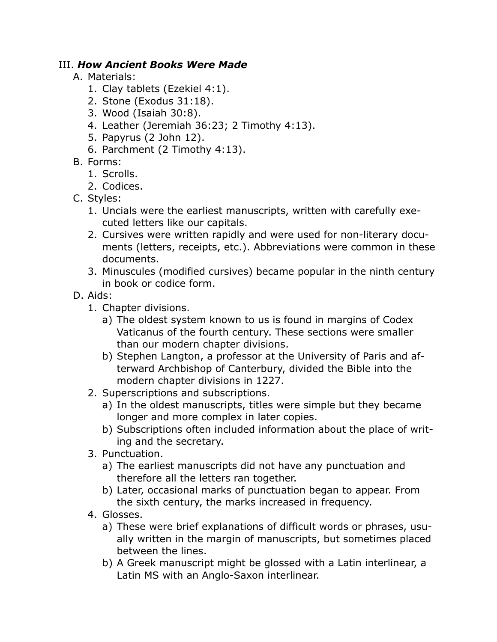#### III. *How Ancient Books Were Made*

- A. Materials:
	- 1. Clay tablets (Ezekiel 4:1).
	- 2. Stone (Exodus 31:18).
	- 3. Wood (Isaiah 30:8).
	- 4. Leather (Jeremiah 36:23; 2 Timothy 4:13).
	- 5. Papyrus (2 John 12).
	- 6. Parchment (2 Timothy 4:13).
- B. Forms:
	- 1. Scrolls.
	- 2. Codices.
- C. Styles:
	- 1. Uncials were the earliest manuscripts, written with carefully executed letters like our capitals.
	- 2. Cursives were written rapidly and were used for non-literary documents (letters, receipts, etc.). Abbreviations were common in these documents.
	- 3. Minuscules (modified cursives) became popular in the ninth century in book or codice form.
- D. Aids:
	- 1. Chapter divisions.
		- a) The oldest system known to us is found in margins of Codex Vaticanus of the fourth century. These sections were smaller than our modern chapter divisions.
		- b) Stephen Langton, a professor at the University of Paris and afterward Archbishop of Canterbury, divided the Bible into the modern chapter divisions in 1227.
	- 2. Superscriptions and subscriptions.
		- a) In the oldest manuscripts, titles were simple but they became longer and more complex in later copies.
		- b) Subscriptions often included information about the place of writing and the secretary.
	- 3. Punctuation.
		- a) The earliest manuscripts did not have any punctuation and therefore all the letters ran together.
		- b) Later, occasional marks of punctuation began to appear. From the sixth century, the marks increased in frequency.
	- 4. Glosses.
		- a) These were brief explanations of difficult words or phrases, usually written in the margin of manuscripts, but sometimes placed between the lines.
		- b) A Greek manuscript might be glossed with a Latin interlinear, a Latin MS with an Anglo-Saxon interlinear.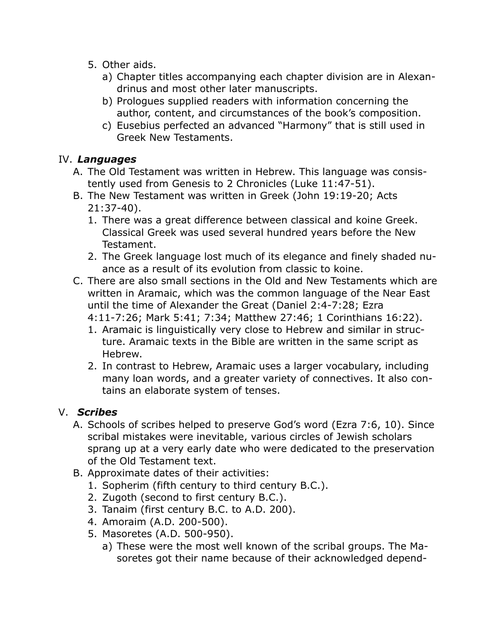- 5. Other aids.
	- a) Chapter titles accompanying each chapter division are in Alexandrinus and most other later manuscripts.
	- b) Prologues supplied readers with information concerning the author, content, and circumstances of the book's composition.
	- c) Eusebius perfected an advanced "Harmony" that is still used in Greek New Testaments.

#### IV. *Languages*

- A. The Old Testament was written in Hebrew. This language was consistently used from Genesis to 2 Chronicles (Luke 11:47-51).
- B. The New Testament was written in Greek (John 19:19-20; Acts 21:37-40).
	- 1. There was a great difference between classical and koine Greek. Classical Greek was used several hundred years before the New Testament.
	- 2. The Greek language lost much of its elegance and finely shaded nuance as a result of its evolution from classic to koine.
- C. There are also small sections in the Old and New Testaments which are written in Aramaic, which was the common language of the Near East until the time of Alexander the Great (Daniel 2:4-7:28; Ezra
	- 4:11-7:26; Mark 5:41; 7:34; Matthew 27:46; 1 Corinthians 16:22).
	- 1. Aramaic is linguistically very close to Hebrew and similar in structure. Aramaic texts in the Bible are written in the same script as Hebrew.
	- 2. In contrast to Hebrew, Aramaic uses a larger vocabulary, including many loan words, and a greater variety of connectives. It also contains an elaborate system of tenses.

## V. *Scribes*

- A. Schools of scribes helped to preserve God's word (Ezra 7:6, 10). Since scribal mistakes were inevitable, various circles of Jewish scholars sprang up at a very early date who were dedicated to the preservation of the Old Testament text.
- B. Approximate dates of their activities:
	- 1. Sopherim (fifth century to third century B.C.).
	- 2. Zugoth (second to first century B.C.).
	- 3. Tanaim (first century B.C. to A.D. 200).
	- 4. Amoraim (A.D. 200-500).
	- 5. Masoretes (A.D. 500-950).
		- a) These were the most well known of the scribal groups. The Masoretes got their name because of their acknowledged depend-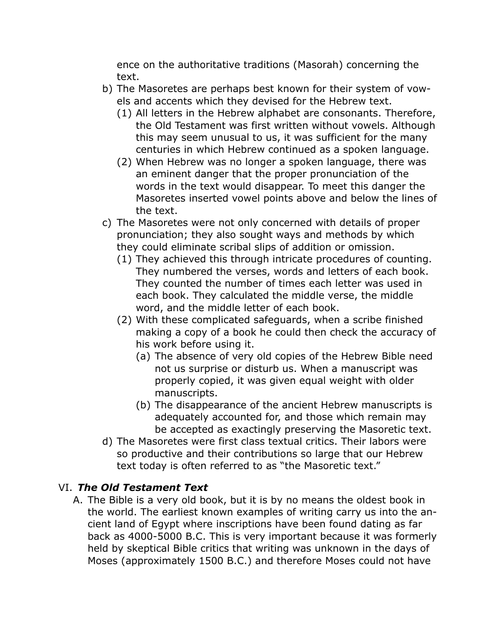ence on the authoritative traditions (Masorah) concerning the text.

- b) The Masoretes are perhaps best known for their system of vowels and accents which they devised for the Hebrew text.
	- (1) All letters in the Hebrew alphabet are consonants. Therefore, the Old Testament was first written without vowels. Although this may seem unusual to us, it was sufficient for the many centuries in which Hebrew continued as a spoken language.
	- (2) When Hebrew was no longer a spoken language, there was an eminent danger that the proper pronunciation of the words in the text would disappear. To meet this danger the Masoretes inserted vowel points above and below the lines of the text.
- c) The Masoretes were not only concerned with details of proper pronunciation; they also sought ways and methods by which they could eliminate scribal slips of addition or omission.
	- (1) They achieved this through intricate procedures of counting. They numbered the verses, words and letters of each book. They counted the number of times each letter was used in each book. They calculated the middle verse, the middle word, and the middle letter of each book.
	- (2) With these complicated safeguards, when a scribe finished making a copy of a book he could then check the accuracy of his work before using it.
		- (a) The absence of very old copies of the Hebrew Bible need not us surprise or disturb us. When a manuscript was properly copied, it was given equal weight with older manuscripts.
		- (b) The disappearance of the ancient Hebrew manuscripts is adequately accounted for, and those which remain may be accepted as exactingly preserving the Masoretic text.
- d) The Masoretes were first class textual critics. Their labors were so productive and their contributions so large that our Hebrew text today is often referred to as "the Masoretic text."

## VI. *The Old Testament Text*

A. The Bible is a very old book, but it is by no means the oldest book in the world. The earliest known examples of writing carry us into the ancient land of Egypt where inscriptions have been found dating as far back as 4000-5000 B.C. This is very important because it was formerly held by skeptical Bible critics that writing was unknown in the days of Moses (approximately 1500 B.C.) and therefore Moses could not have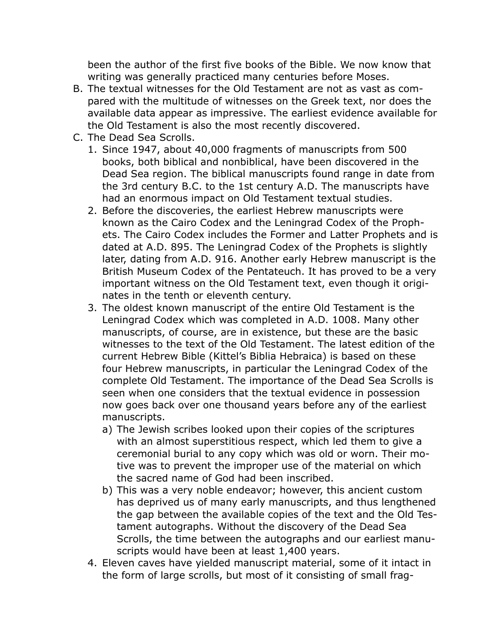been the author of the first five books of the Bible. We now know that writing was generally practiced many centuries before Moses.

- B. The textual witnesses for the Old Testament are not as vast as compared with the multitude of witnesses on the Greek text, nor does the available data appear as impressive. The earliest evidence available for the Old Testament is also the most recently discovered.
- C. The Dead Sea Scrolls.
	- 1. Since 1947, about 40,000 fragments of manuscripts from 500 books, both biblical and nonbiblical, have been discovered in the Dead Sea region. The biblical manuscripts found range in date from the 3rd century B.C. to the 1st century A.D. The manuscripts have had an enormous impact on Old Testament textual studies.
	- 2. Before the discoveries, the earliest Hebrew manuscripts were known as the Cairo Codex and the Leningrad Codex of the Prophets. The Cairo Codex includes the Former and Latter Prophets and is dated at A.D. 895. The Leningrad Codex of the Prophets is slightly later, dating from A.D. 916. Another early Hebrew manuscript is the British Museum Codex of the Pentateuch. It has proved to be a very important witness on the Old Testament text, even though it originates in the tenth or eleventh century.
	- 3. The oldest known manuscript of the entire Old Testament is the Leningrad Codex which was completed in A.D. 1008. Many other manuscripts, of course, are in existence, but these are the basic witnesses to the text of the Old Testament. The latest edition of the current Hebrew Bible (Kittel's Biblia Hebraica) is based on these four Hebrew manuscripts, in particular the Leningrad Codex of the complete Old Testament. The importance of the Dead Sea Scrolls is seen when one considers that the textual evidence in possession now goes back over one thousand years before any of the earliest manuscripts.
		- a) The Jewish scribes looked upon their copies of the scriptures with an almost superstitious respect, which led them to give a ceremonial burial to any copy which was old or worn. Their motive was to prevent the improper use of the material on which the sacred name of God had been inscribed.
		- b) This was a very noble endeavor; however, this ancient custom has deprived us of many early manuscripts, and thus lengthened the gap between the available copies of the text and the Old Testament autographs. Without the discovery of the Dead Sea Scrolls, the time between the autographs and our earliest manuscripts would have been at least 1,400 years.
	- 4. Eleven caves have yielded manuscript material, some of it intact in the form of large scrolls, but most of it consisting of small frag-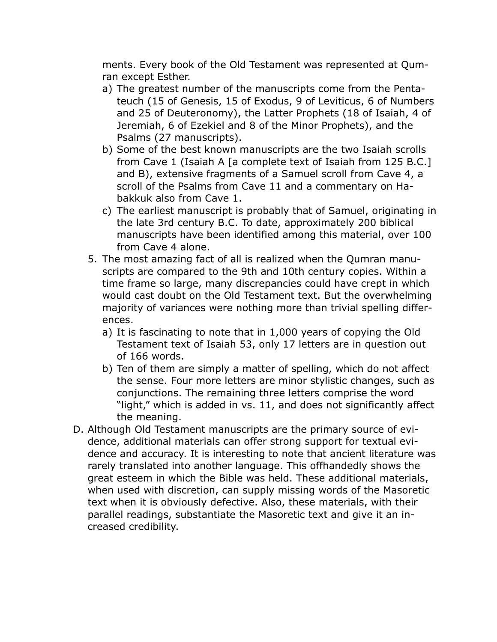ments. Every book of the Old Testament was represented at Qumran except Esther.

- a) The greatest number of the manuscripts come from the Pentateuch (15 of Genesis, 15 of Exodus, 9 of Leviticus, 6 of Numbers and 25 of Deuteronomy), the Latter Prophets (18 of Isaiah, 4 of Jeremiah, 6 of Ezekiel and 8 of the Minor Prophets), and the Psalms (27 manuscripts).
- b) Some of the best known manuscripts are the two Isaiah scrolls from Cave 1 (Isaiah A [a complete text of Isaiah from 125 B.C.] and B), extensive fragments of a Samuel scroll from Cave 4, a scroll of the Psalms from Cave 11 and a commentary on Habakkuk also from Cave 1.
- c) The earliest manuscript is probably that of Samuel, originating in the late 3rd century B.C. To date, approximately 200 biblical manuscripts have been identified among this material, over 100 from Cave 4 alone.
- 5. The most amazing fact of all is realized when the Qumran manuscripts are compared to the 9th and 10th century copies. Within a time frame so large, many discrepancies could have crept in which would cast doubt on the Old Testament text. But the overwhelming majority of variances were nothing more than trivial spelling differences.
	- a) It is fascinating to note that in 1,000 years of copying the Old Testament text of Isaiah 53, only 17 letters are in question out of 166 words.
	- b) Ten of them are simply a matter of spelling, which do not affect the sense. Four more letters are minor stylistic changes, such as conjunctions. The remaining three letters comprise the word "light," which is added in vs. 11, and does not significantly affect the meaning.
- D. Although Old Testament manuscripts are the primary source of evidence, additional materials can offer strong support for textual evidence and accuracy. It is interesting to note that ancient literature was rarely translated into another language. This offhandedly shows the great esteem in which the Bible was held. These additional materials, when used with discretion, can supply missing words of the Masoretic text when it is obviously defective. Also, these materials, with their parallel readings, substantiate the Masoretic text and give it an increased credibility.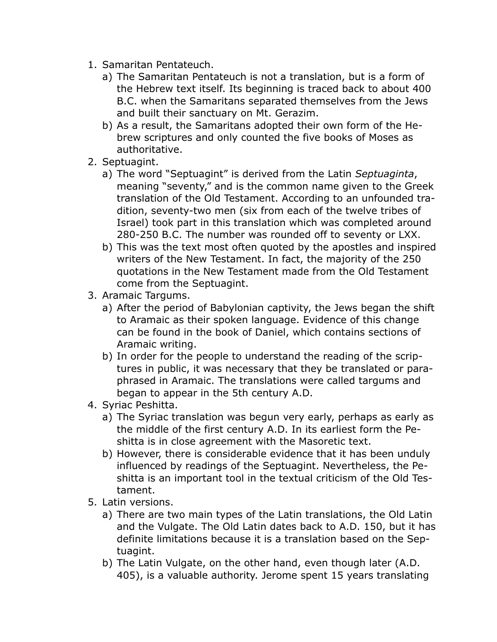- 1. Samaritan Pentateuch.
	- a) The Samaritan Pentateuch is not a translation, but is a form of the Hebrew text itself. Its beginning is traced back to about 400 B.C. when the Samaritans separated themselves from the Jews and built their sanctuary on Mt. Gerazim.
	- b) As a result, the Samaritans adopted their own form of the Hebrew scriptures and only counted the five books of Moses as authoritative.
- 2. Septuagint.
	- a) The word "Septuagint" is derived from the Latin *Septuaginta*, meaning "seventy," and is the common name given to the Greek translation of the Old Testament. According to an unfounded tradition, seventy-two men (six from each of the twelve tribes of Israel) took part in this translation which was completed around 280-250 B.C. The number was rounded off to seventy or LXX.
	- b) This was the text most often quoted by the apostles and inspired writers of the New Testament. In fact, the majority of the 250 quotations in the New Testament made from the Old Testament come from the Septuagint.
- 3. Aramaic Targums.
	- a) After the period of Babylonian captivity, the Jews began the shift to Aramaic as their spoken language. Evidence of this change can be found in the book of Daniel, which contains sections of Aramaic writing.
	- b) In order for the people to understand the reading of the scriptures in public, it was necessary that they be translated or paraphrased in Aramaic. The translations were called targums and began to appear in the 5th century A.D.
- 4. Syriac Peshitta.
	- a) The Syriac translation was begun very early, perhaps as early as the middle of the first century A.D. In its earliest form the Peshitta is in close agreement with the Masoretic text.
	- b) However, there is considerable evidence that it has been unduly influenced by readings of the Septuagint. Nevertheless, the Peshitta is an important tool in the textual criticism of the Old Testament.
- 5. Latin versions.
	- a) There are two main types of the Latin translations, the Old Latin and the Vulgate. The Old Latin dates back to A.D. 150, but it has definite limitations because it is a translation based on the Septuagint.
	- b) The Latin Vulgate, on the other hand, even though later (A.D. 405), is a valuable authority. Jerome spent 15 years translating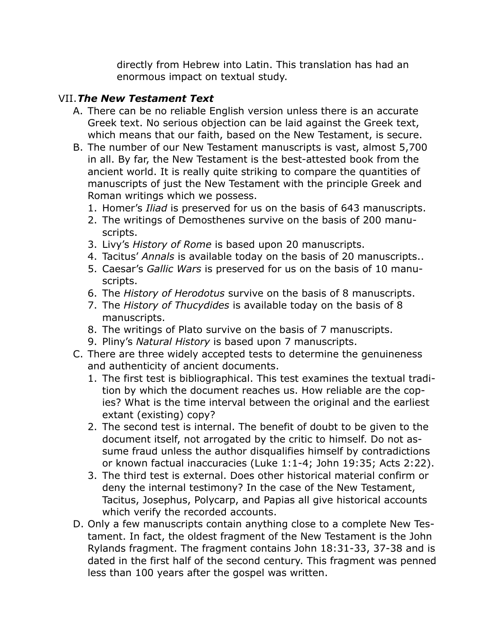directly from Hebrew into Latin. This translation has had an enormous impact on textual study.

#### VII.*The New Testament Text*

- A. There can be no reliable English version unless there is an accurate Greek text. No serious objection can be laid against the Greek text, which means that our faith, based on the New Testament, is secure.
- B. The number of our New Testament manuscripts is vast, almost 5,700 in all. By far, the New Testament is the best-attested book from the ancient world. It is really quite striking to compare the quantities of manuscripts of just the New Testament with the principle Greek and Roman writings which we possess.
	- 1. Homer's *Iliad* is preserved for us on the basis of 643 manuscripts.
	- 2. The writings of Demosthenes survive on the basis of 200 manuscripts.
	- 3. Livy's *History of Rome* is based upon 20 manuscripts.
	- 4. Tacitus' *Annals* is available today on the basis of 20 manuscripts..
	- 5. Caesar's *Gallic Wars* is preserved for us on the basis of 10 manuscripts.
	- 6. The *History of Herodotus* survive on the basis of 8 manuscripts.
	- 7. The *History of Thucydides* is available today on the basis of 8 manuscripts.
	- 8. The writings of Plato survive on the basis of 7 manuscripts.
	- 9. Pliny's *Natural History* is based upon 7 manuscripts.
- C. There are three widely accepted tests to determine the genuineness and authenticity of ancient documents.
	- 1. The first test is bibliographical. This test examines the textual tradition by which the document reaches us. How reliable are the copies? What is the time interval between the original and the earliest extant (existing) copy?
	- 2. The second test is internal. The benefit of doubt to be given to the document itself, not arrogated by the critic to himself. Do not assume fraud unless the author disqualifies himself by contradictions or known factual inaccuracies (Luke 1:1-4; John 19:35; Acts 2:22).
	- 3. The third test is external. Does other historical material confirm or deny the internal testimony? In the case of the New Testament, Tacitus, Josephus, Polycarp, and Papias all give historical accounts which verify the recorded accounts.
- D. Only a few manuscripts contain anything close to a complete New Testament. In fact, the oldest fragment of the New Testament is the John Rylands fragment. The fragment contains John 18:31-33, 37-38 and is dated in the first half of the second century. This fragment was penned less than 100 years after the gospel was written.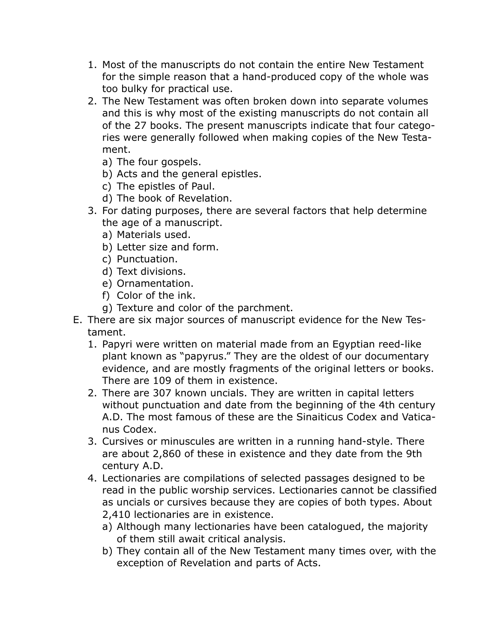- 1. Most of the manuscripts do not contain the entire New Testament for the simple reason that a hand-produced copy of the whole was too bulky for practical use.
- 2. The New Testament was often broken down into separate volumes and this is why most of the existing manuscripts do not contain all of the 27 books. The present manuscripts indicate that four categories were generally followed when making copies of the New Testament.
	- a) The four gospels.
	- b) Acts and the general epistles.
	- c) The epistles of Paul.
	- d) The book of Revelation.
- 3. For dating purposes, there are several factors that help determine the age of a manuscript.
	- a) Materials used.
	- b) Letter size and form.
	- c) Punctuation.
	- d) Text divisions.
	- e) Ornamentation.
	- f) Color of the ink.
	- g) Texture and color of the parchment.
- E. There are six major sources of manuscript evidence for the New Testament.
	- 1. Papyri were written on material made from an Egyptian reed-like plant known as "papyrus." They are the oldest of our documentary evidence, and are mostly fragments of the original letters or books. There are 109 of them in existence.
	- 2. There are 307 known uncials. They are written in capital letters without punctuation and date from the beginning of the 4th century A.D. The most famous of these are the Sinaiticus Codex and Vaticanus Codex.
	- 3. Cursives or minuscules are written in a running hand-style. There are about 2,860 of these in existence and they date from the 9th century A.D.
	- 4. Lectionaries are compilations of selected passages designed to be read in the public worship services. Lectionaries cannot be classified as uncials or cursives because they are copies of both types. About 2,410 lectionaries are in existence.
		- a) Although many lectionaries have been catalogued, the majority of them still await critical analysis.
		- b) They contain all of the New Testament many times over, with the exception of Revelation and parts of Acts.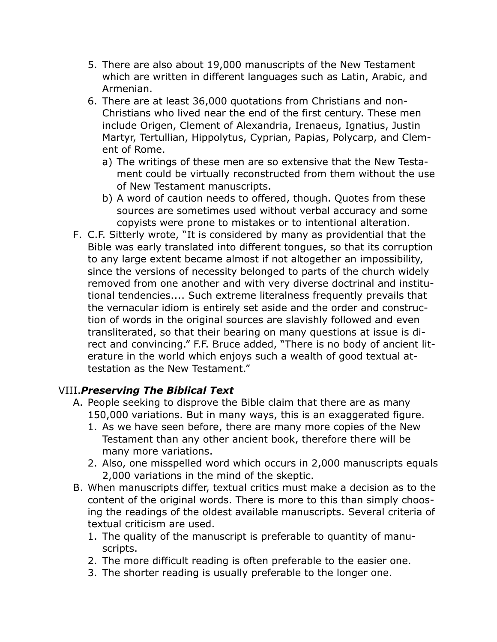- 5. There are also about 19,000 manuscripts of the New Testament which are written in different languages such as Latin, Arabic, and Armenian.
- 6. There are at least 36,000 quotations from Christians and non-Christians who lived near the end of the first century. These men include Origen, Clement of Alexandria, Irenaeus, Ignatius, Justin Martyr, Tertullian, Hippolytus, Cyprian, Papias, Polycarp, and Clement of Rome.
	- a) The writings of these men are so extensive that the New Testament could be virtually reconstructed from them without the use of New Testament manuscripts.
	- b) A word of caution needs to offered, though. Quotes from these sources are sometimes used without verbal accuracy and some copyists were prone to mistakes or to intentional alteration.
- F. C.F. Sitterly wrote, "It is considered by many as providential that the Bible was early translated into different tongues, so that its corruption to any large extent became almost if not altogether an impossibility, since the versions of necessity belonged to parts of the church widely removed from one another and with very diverse doctrinal and institutional tendencies.... Such extreme literalness frequently prevails that the vernacular idiom is entirely set aside and the order and construction of words in the original sources are slavishly followed and even transliterated, so that their bearing on many questions at issue is direct and convincing." F.F. Bruce added, "There is no body of ancient literature in the world which enjoys such a wealth of good textual attestation as the New Testament."

#### VIII.*Preserving The Biblical Text*

- A. People seeking to disprove the Bible claim that there are as many 150,000 variations. But in many ways, this is an exaggerated figure.
	- 1. As we have seen before, there are many more copies of the New Testament than any other ancient book, therefore there will be many more variations.
	- 2. Also, one misspelled word which occurs in 2,000 manuscripts equals 2,000 variations in the mind of the skeptic.
- B. When manuscripts differ, textual critics must make a decision as to the content of the original words. There is more to this than simply choosing the readings of the oldest available manuscripts. Several criteria of textual criticism are used.
	- 1. The quality of the manuscript is preferable to quantity of manuscripts.
	- 2. The more difficult reading is often preferable to the easier one.
	- 3. The shorter reading is usually preferable to the longer one.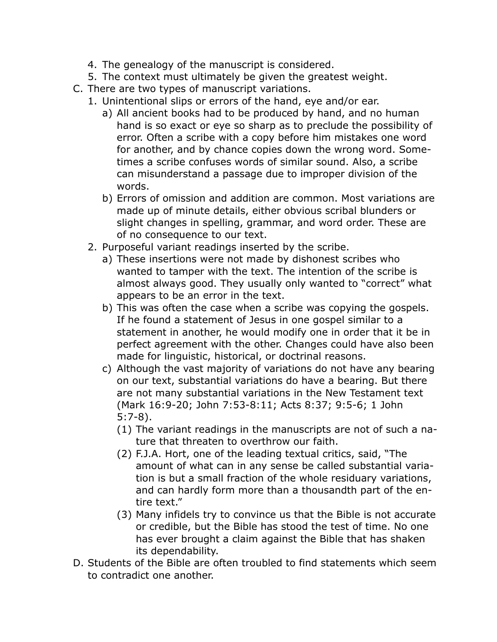- 4. The genealogy of the manuscript is considered.
- 5. The context must ultimately be given the greatest weight.
- C. There are two types of manuscript variations.
	- 1. Unintentional slips or errors of the hand, eye and/or ear.
		- a) All ancient books had to be produced by hand, and no human hand is so exact or eye so sharp as to preclude the possibility of error. Often a scribe with a copy before him mistakes one word for another, and by chance copies down the wrong word. Sometimes a scribe confuses words of similar sound. Also, a scribe can misunderstand a passage due to improper division of the words.
		- b) Errors of omission and addition are common. Most variations are made up of minute details, either obvious scribal blunders or slight changes in spelling, grammar, and word order. These are of no consequence to our text.
	- 2. Purposeful variant readings inserted by the scribe.
		- a) These insertions were not made by dishonest scribes who wanted to tamper with the text. The intention of the scribe is almost always good. They usually only wanted to "correct" what appears to be an error in the text.
		- b) This was often the case when a scribe was copying the gospels. If he found a statement of Jesus in one gospel similar to a statement in another, he would modify one in order that it be in perfect agreement with the other. Changes could have also been made for linguistic, historical, or doctrinal reasons.
		- c) Although the vast majority of variations do not have any bearing on our text, substantial variations do have a bearing. But there are not many substantial variations in the New Testament text (Mark 16:9-20; John 7:53-8:11; Acts 8:37; 9:5-6; 1 John 5:7-8).
			- (1) The variant readings in the manuscripts are not of such a nature that threaten to overthrow our faith.
			- (2) F.J.A. Hort, one of the leading textual critics, said, "The amount of what can in any sense be called substantial variation is but a small fraction of the whole residuary variations, and can hardly form more than a thousandth part of the entire text."
			- (3) Many infidels try to convince us that the Bible is not accurate or credible, but the Bible has stood the test of time. No one has ever brought a claim against the Bible that has shaken its dependability.
- D. Students of the Bible are often troubled to find statements which seem to contradict one another.